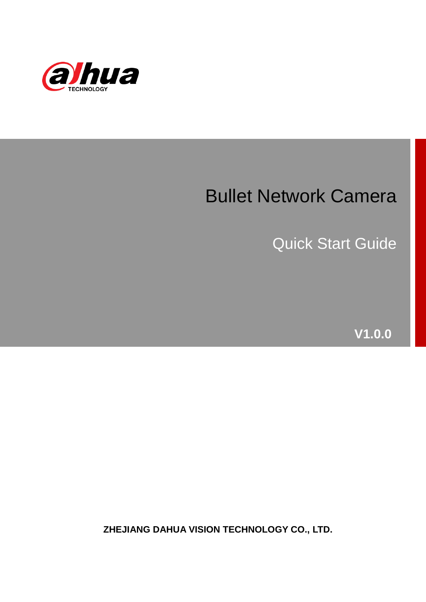

## Bullet Network Camera

Quick Start Guide

**V1.0.0**

**ZHEJIANG DAHUA VISION TECHNOLOGY CO., LTD.**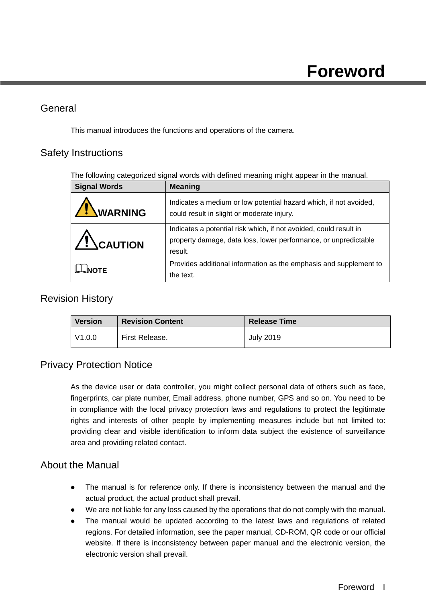#### <span id="page-1-0"></span>General

This manual introduces the functions and operations of the camera.

#### Safety Instructions

The following categorized signal words with defined meaning might appear in the manual.

| <b>Signal Words</b> | <b>Meaning</b>                                                                                                                                  |
|---------------------|-------------------------------------------------------------------------------------------------------------------------------------------------|
| <b>WARNING</b>      | Indicates a medium or low potential hazard which, if not avoided,<br>could result in slight or moderate injury.                                 |
| $\sqrt{!}$ CAUTION  | Indicates a potential risk which, if not avoided, could result in<br>property damage, data loss, lower performance, or unpredictable<br>result. |
| <b>NOTF</b>         | Provides additional information as the emphasis and supplement to<br>the text.                                                                  |

#### Revision History

| <b>Version</b> | <b>Revision Content</b> | <b>Release Time</b> |
|----------------|-------------------------|---------------------|
| l V1.0.0       | First Release.          | <b>July 2019</b>    |

#### Privacy Protection Notice

As the device user or data controller, you might collect personal data of others such as face, fingerprints, car plate number, Email address, phone number, GPS and so on. You need to be in compliance with the local privacy protection laws and regulations to protect the legitimate rights and interests of other people by implementing measures include but not limited to: providing clear and visible identification to inform data subject the existence of surveillance area and providing related contact.

#### About the Manual

- The manual is for reference only. If there is inconsistency between the manual and the actual product, the actual product shall prevail.
- We are not liable for any loss caused by the operations that do not comply with the manual.
- The manual would be updated according to the latest laws and regulations of related regions. For detailed information, see the paper manual, CD-ROM, QR code or our official website. If there is inconsistency between paper manual and the electronic version, the electronic version shall prevail.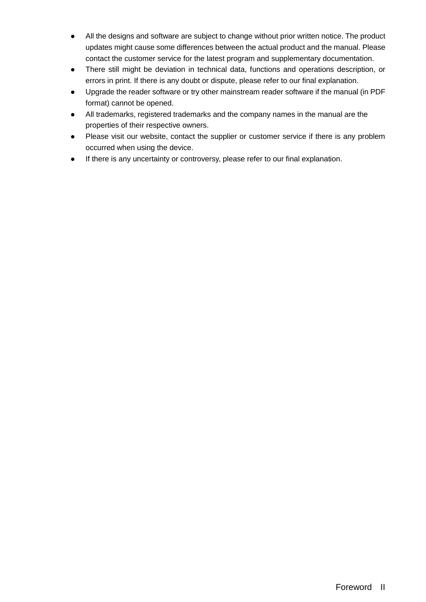- All the designs and software are subject to change without prior written notice. The product updates might cause some differences between the actual product and the manual. Please contact the customer service for the latest program and supplementary documentation.
- There still might be deviation in technical data, functions and operations description, or errors in print. If there is any doubt or dispute, please refer to our final explanation.
- Upgrade the reader software or try other mainstream reader software if the manual (in PDF format) cannot be opened.
- All trademarks, registered trademarks and the company names in the manual are the properties of their respective owners.
- Please visit our website, contact the supplier or customer service if there is any problem occurred when using the device.
- If there is any uncertainty or controversy, please refer to our final explanation.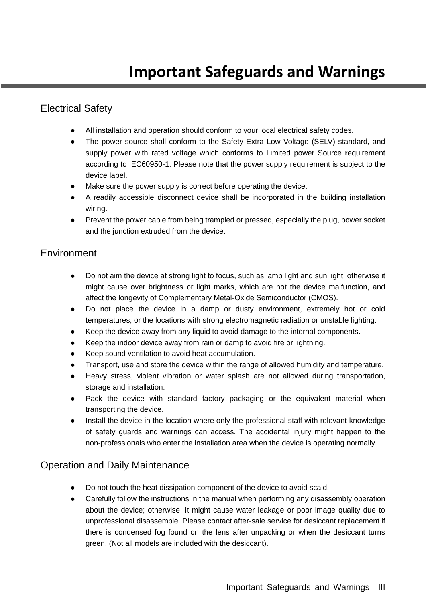#### <span id="page-3-0"></span>Electrical Safety

- All installation and operation should conform to your local electrical safety codes.
- The power source shall conform to the Safety Extra Low Voltage (SELV) standard, and supply power with rated voltage which conforms to Limited power Source requirement according to IEC60950-1. Please note that the power supply requirement is subject to the device label.
- Make sure the power supply is correct before operating the device.
- A readily accessible disconnect device shall be incorporated in the building installation wiring.
- Prevent the power cable from being trampled or pressed, especially the plug, power socket and the junction extruded from the device.

#### **Environment**

- Do not aim the device at strong light to focus, such as lamp light and sun light; otherwise it might cause over brightness or light marks, which are not the device malfunction, and affect the longevity of Complementary Metal-Oxide Semiconductor (CMOS).
- Do not place the device in a damp or dusty environment, extremely hot or cold temperatures, or the locations with strong electromagnetic radiation or unstable lighting.
- Keep the device away from any liquid to avoid damage to the internal components.
- Keep the indoor device away from rain or damp to avoid fire or lightning.
- Keep sound ventilation to avoid heat accumulation.
- Transport, use and store the device within the range of allowed humidity and temperature.
- Heavy stress, violent vibration or water splash are not allowed during transportation, storage and installation.
- Pack the device with standard factory packaging or the equivalent material when transporting the device.
- Install the device in the location where only the professional staff with relevant knowledge of safety guards and warnings can access. The accidental injury might happen to the non-professionals who enter the installation area when the device is operating normally.

#### Operation and Daily Maintenance

- Do not touch the heat dissipation component of the device to avoid scald.
- Carefully follow the instructions in the manual when performing any disassembly operation about the device; otherwise, it might cause water leakage or poor image quality due to unprofessional disassemble. Please contact after-sale service for desiccant replacement if there is condensed fog found on the lens after unpacking or when the desiccant turns green. (Not all models are included with the desiccant).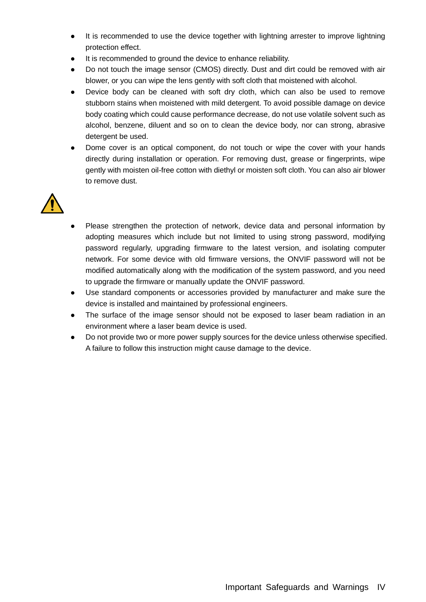- It is recommended to use the device together with lightning arrester to improve lightning protection effect.
- It is recommended to ground the device to enhance reliability.
- Do not touch the image sensor (CMOS) directly. Dust and dirt could be removed with air blower, or you can wipe the lens gently with soft cloth that moistened with alcohol.
- Device body can be cleaned with soft dry cloth, which can also be used to remove stubborn stains when moistened with mild detergent. To avoid possible damage on device body coating which could cause performance decrease, do not use volatile solvent such as alcohol, benzene, diluent and so on to clean the device body, nor can strong, abrasive detergent be used.
- Dome cover is an optical component, do not touch or wipe the cover with your hands directly during installation or operation. For removing dust, grease or fingerprints, wipe gently with moisten oil-free cotton with diethyl or moisten soft cloth. You can also air blower to remove dust.



- Please strengthen the protection of network, device data and personal information by adopting measures which include but not limited to using strong password, modifying password regularly, upgrading firmware to the latest version, and isolating computer network. For some device with old firmware versions, the ONVIF password will not be modified automatically along with the modification of the system password, and you need to upgrade the firmware or manually update the ONVIF password.
- Use standard components or accessories provided by manufacturer and make sure the device is installed and maintained by professional engineers.
- The surface of the image sensor should not be exposed to laser beam radiation in an environment where a laser beam device is used.
- Do not provide two or more power supply sources for the device unless otherwise specified. A failure to follow this instruction might cause damage to the device.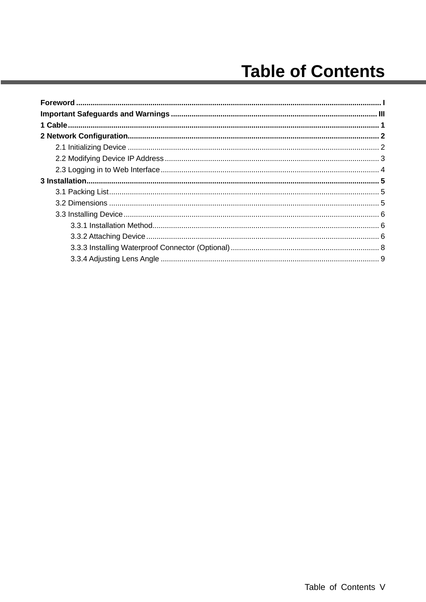## **Table of Contents**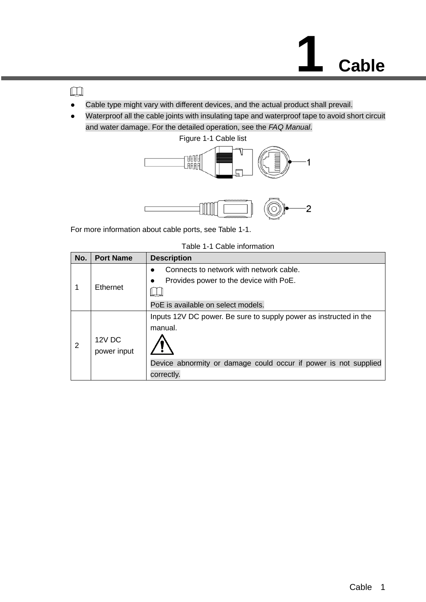<span id="page-6-0"></span> $\Box$ 

- Cable type might vary with different devices, and the actual product shall prevail.
- Waterproof all the cable joints with insulating tape and waterproof tape to avoid short circuit and water damage. For the detailed operation, see the *FAQ Manual*.



<span id="page-6-1"></span>For more information about cable ports, see [Table 1-1.](#page-6-1)

| Table 1-1 Cable information |  |
|-----------------------------|--|
|-----------------------------|--|

| No. | <b>Port Name</b> | <b>Description</b>                                                |
|-----|------------------|-------------------------------------------------------------------|
|     |                  | Connects to network with network cable.<br>$\bullet$              |
|     |                  | Provides power to the device with PoE.                            |
|     | <b>Ethernet</b>  |                                                                   |
|     |                  | PoE is available on select models.                                |
|     |                  | Inputs 12V DC power. Be sure to supply power as instructed in the |
|     |                  | manual.                                                           |
| 2   | 12V DC           |                                                                   |
|     | power input      |                                                                   |
|     |                  | Device abnormity or damage could occur if power is not supplied   |
|     |                  | correctly.                                                        |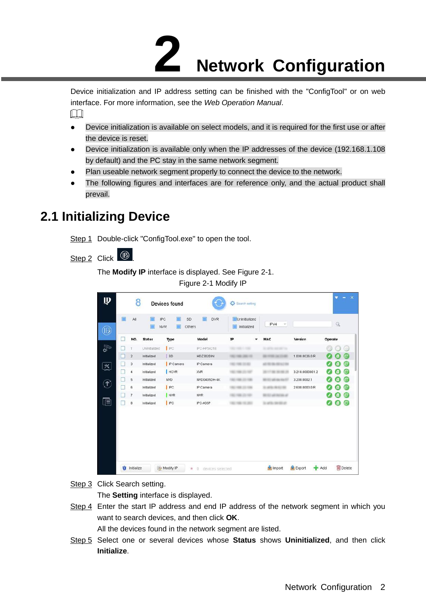# **2 Network Configuration**

<span id="page-7-0"></span>Device initialization and IP address setting can be finished with the "ConfigTool" or on web interface. For more information, see the *Web Operation Manual*.  $\Box$ 

- Device initialization is available on select models, and it is required for the first use or after the device is reset.
- Device initialization is available only when the IP addresses of the device (192.168.1.108 by default) and the PC stay in the same network segment.
- Plan useable network segment properly to connect the device to the network.
- The following figures and interfaces are for reference only, and the actual product shall prevail.

## <span id="page-7-3"></span><span id="page-7-1"></span>**2.1 Initializing Device**

Step 1 Double-click "ConfigTool.exe" to open the tool.

<span id="page-7-2"></span>Step 2 Click <sup>1</sup>

The **Modify IP** interface is displayed. See [Figure 2-1.](#page-7-2)

Figure 2-1 Modify IP

| Model<br>Version<br>NO.<br><b>Status</b><br>IP<br>MAC<br>Operate<br>Type<br>٠<br>IFC<br>Uninitialized<br>IPC-HF5421E<br>m<br>to sell the state and con-<br>. .<br><b>SD</b><br>$\sqrt{2}$<br>Initialized<br>HDZ302DIN<br>1.000.0026.0.R<br>81119-14-1148<br>THE THE JOS OF<br>$\overline{\mathbf{3}}$<br>IP Camera<br>Initialized<br>IP Camera<br>THE THE CORE<br>at the ancience and<br><b>HCVR</b><br>Initialized<br><b>XVR</b><br>3.218.0000001.2<br>4<br><br>5<br>Initialized<br><b>NVD</b><br>NVD0405DH-4K<br>3.200.0002.1<br>49-14039-1-120-2<br><b>I</b> IPC<br>6<br>Initialized<br>IP Camera<br>2.600.0003.0.R<br>419.911<br>$\overline{t}$<br><b>NVR</b><br>Initialized<br><b>NVR</b><br><b><i>C-ACRES</i></b><br><b>SECURITY</b><br>m<br>IPC<br>$\bf 8$<br>Ø<br>Initialized<br>IPC-A35P<br>413-141-0-1 | u<br>G<br>関<br>۰<br>□<br>E<br>ш<br>c | All | IPC<br>SD<br><b>NVR</b> | <b>DVR</b><br>Others | Uninitialized<br>Initialized | IPV4<br>v | q       |
|------------------------------------------------------------------------------------------------------------------------------------------------------------------------------------------------------------------------------------------------------------------------------------------------------------------------------------------------------------------------------------------------------------------------------------------------------------------------------------------------------------------------------------------------------------------------------------------------------------------------------------------------------------------------------------------------------------------------------------------------------------------------------------------------------------------|--------------------------------------|-----|-------------------------|----------------------|------------------------------|-----------|---------|
|                                                                                                                                                                                                                                                                                                                                                                                                                                                                                                                                                                                                                                                                                                                                                                                                                  |                                      |     |                         |                      |                              |           |         |
|                                                                                                                                                                                                                                                                                                                                                                                                                                                                                                                                                                                                                                                                                                                                                                                                                  |                                      |     |                         |                      |                              |           | $r = n$ |
|                                                                                                                                                                                                                                                                                                                                                                                                                                                                                                                                                                                                                                                                                                                                                                                                                  |                                      |     |                         |                      |                              |           |         |
|                                                                                                                                                                                                                                                                                                                                                                                                                                                                                                                                                                                                                                                                                                                                                                                                                  |                                      |     |                         |                      |                              |           |         |
|                                                                                                                                                                                                                                                                                                                                                                                                                                                                                                                                                                                                                                                                                                                                                                                                                  |                                      |     |                         |                      |                              |           | в       |
|                                                                                                                                                                                                                                                                                                                                                                                                                                                                                                                                                                                                                                                                                                                                                                                                                  |                                      |     |                         |                      |                              |           |         |
|                                                                                                                                                                                                                                                                                                                                                                                                                                                                                                                                                                                                                                                                                                                                                                                                                  |                                      |     |                         |                      |                              |           |         |
|                                                                                                                                                                                                                                                                                                                                                                                                                                                                                                                                                                                                                                                                                                                                                                                                                  |                                      |     |                         |                      |                              |           | c.      |
|                                                                                                                                                                                                                                                                                                                                                                                                                                                                                                                                                                                                                                                                                                                                                                                                                  |                                      |     |                         |                      |                              |           | Œ       |
|                                                                                                                                                                                                                                                                                                                                                                                                                                                                                                                                                                                                                                                                                                                                                                                                                  |                                      |     |                         |                      |                              |           |         |

Step 3 Click Search setting.

The **Setting** interface is displayed.

<span id="page-7-4"></span>Step 4 Enter the start IP address and end IP address of the network segment in which you want to search devices, and then click **OK**.

All the devices found in the network segment are listed.

Step 5 Select one or several devices whose **Status** shows **Uninitialized**, and then click **Initialize**.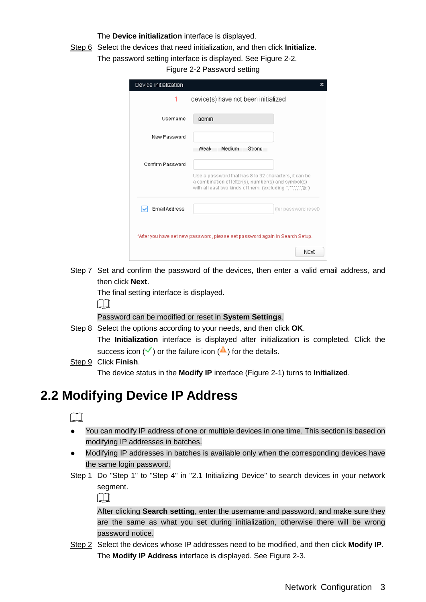#### The **Device initialization** interface is displayed.

<span id="page-8-1"></span>Step 6 Select the devices that need initialization, and then click **Initialize**.

The password setting interface is displayed. See [Figure 2-2.](#page-8-1)

Figure 2-2 Password setting

| Device initialization |                                                                                                                                                                             | × |
|-----------------------|-----------------------------------------------------------------------------------------------------------------------------------------------------------------------------|---|
| 1                     | device(s) have not been initialized                                                                                                                                         |   |
| Username              | admin                                                                                                                                                                       |   |
| New Password          |                                                                                                                                                                             |   |
|                       | Weak<br>Medium<br>Strong                                                                                                                                                    |   |
| Confirm Password      |                                                                                                                                                                             |   |
|                       | Use a password that has 8 to 32 characters, it can be<br>a combination of letter(s), number(s) and symbol(s)<br>with at least two kinds of them. (excluding ","",",",","&") |   |
| Email Address         | (for password reset)                                                                                                                                                        |   |
|                       | *After you have set new password, please set password again in Search Setup.                                                                                                |   |
|                       | Next                                                                                                                                                                        |   |

Step 7 Set and confirm the password of the devices, then enter a valid email address, and then click **Next**.

The final setting interface is displayed.

 $\Box$ 

Password can be modified or reset in **System Settings**.

Step 8 Select the options according to your needs, and then click **OK**. The **Initialization** interface is displayed after initialization is completed. Click the success icon  $(\checkmark)$  or the failure icon  $(\hat{\bullet})$  for the details.

Step 9 Click **Finish**.

The device status in the **Modify IP** interface [\(Figure 2-1\)](#page-7-2) turns to **Initialized**.

## <span id="page-8-0"></span>**2.2 Modifying Device IP Address**

 $\Box$ 

- You can modify IP address of one or multiple devices in one time. This section is based on modifying IP addresses in batches.
- Modifying IP addresses in batches is available only when the corresponding devices have the same login password.
- Step 1 Do ["Step 1"](#page-7-3) to ["Step 4"](#page-7-4) in ["2.1](#page-7-1) [Initializing Device"](#page-7-1) to search devices in your network segment.

 $\square$ 

After clicking **Search setting**, enter the username and password, and make sure they are the same as what you set during initialization, otherwise there will be wrong password notice.

Step 2 Select the devices whose IP addresses need to be modified, and then click **Modify IP**. The **Modify IP Address** interface is displayed. See [Figure 2-3.](#page-9-1)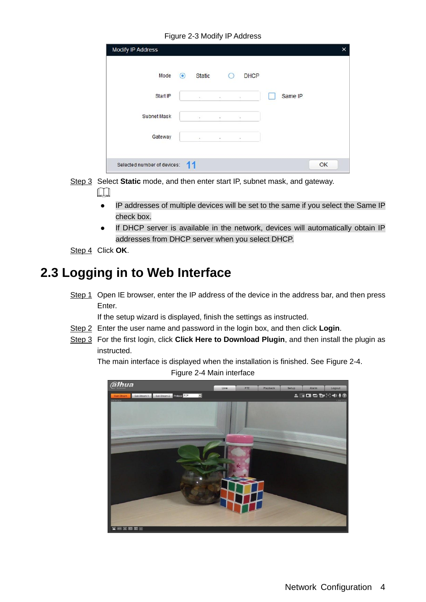Figure 2-3 Modify IP Address

<span id="page-9-1"></span>

| Mode        | $\odot$ | <b>Static</b> |          | <b>DHCP</b><br>$\cup$ |         |  |
|-------------|---------|---------------|----------|-----------------------|---------|--|
| Start IP    |         | $\alpha$      | $\sim$   | $\omega$              | Same IP |  |
| Subnet Mask |         | 43.           | 罰        | 注                     |         |  |
| Gateway     |         | $\alpha$      | $\alpha$ | $\sim$                |         |  |

Step 3 Select **Static** mode, and then enter start IP, subnet mask, and gateway.

 $\Box$ 

- IP addresses of multiple devices will be set to the same if you select the Same IP check box.
- If DHCP server is available in the network, devices will automatically obtain IP addresses from DHCP server when you select DHCP.
- Step 4 Click **OK**.

## <span id="page-9-0"></span>**2.3 Logging in to Web Interface**

Step 1 Open IE browser, enter the IP address of the device in the address bar, and then press Enter.

If the setup wizard is displayed, finish the settings as instructed.

- Step 2 Enter the user name and password in the login box, and then click **Login**.
- <span id="page-9-2"></span>Step 3 For the first login, click **Click Here to Download Plugin**, and then install the plugin as instructed.

The main interface is displayed when the installation is finished. See [Figure 2-4.](#page-9-2) Figure 2-4 Main interface

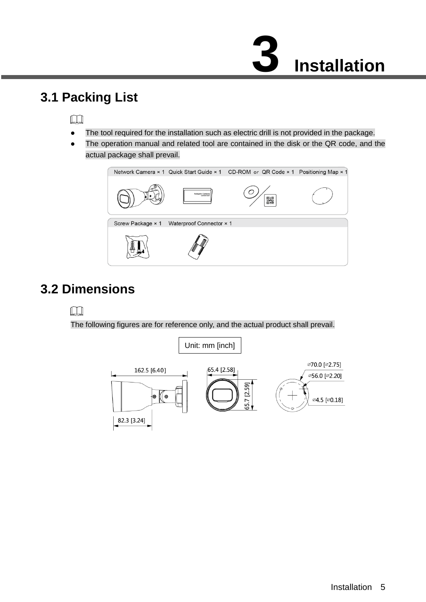# **3 Installation**

## <span id="page-10-1"></span><span id="page-10-0"></span>**3.1 Packing List**

#### $\Box$

- The tool required for the installation such as electric drill is not provided in the package.
- The operation manual and related tool are contained in the disk or the QR code, and the actual package shall prevail.



## <span id="page-10-2"></span>**3.2 Dimensions**

### $\Box$

The following figures are for reference only, and the actual product shall prevail.

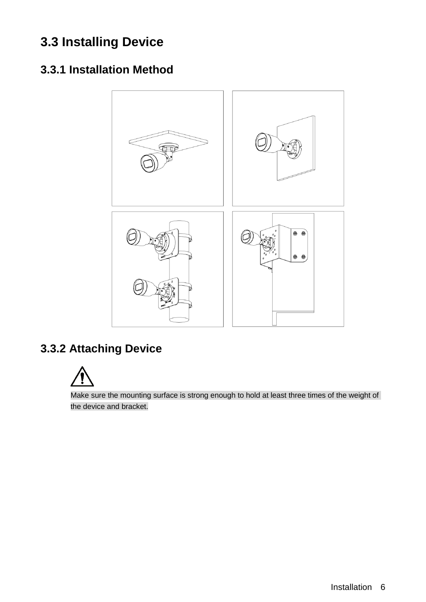## <span id="page-11-0"></span>**3.3 Installing Device**

## <span id="page-11-1"></span>**3.3.1 Installation Method**



## <span id="page-11-2"></span>**3.3.2 Attaching Device**



Make sure the mounting surface is strong enough to hold at least three times of the weight of the device and bracket.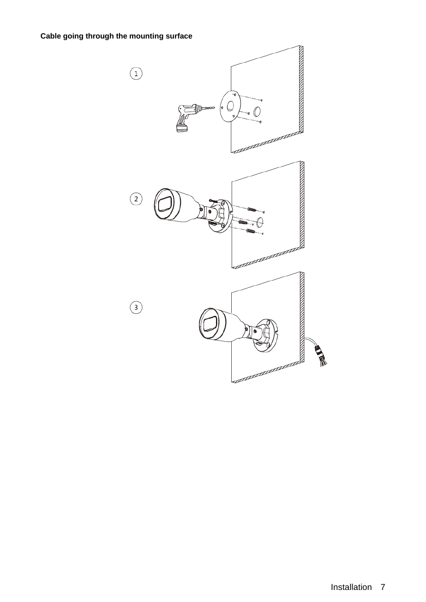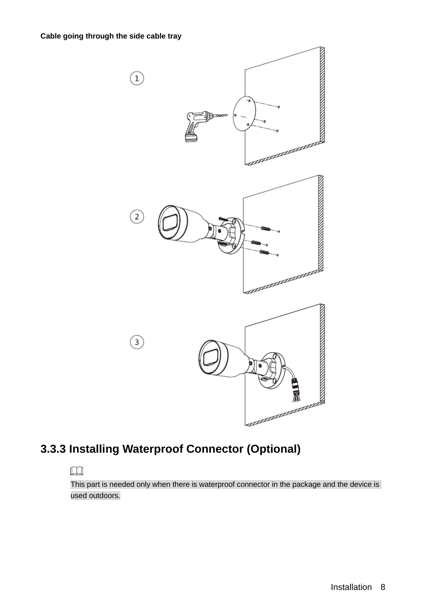

## <span id="page-13-0"></span>**3.3.3 Installing Waterproof Connector (Optional)**

#### $\Box$

This part is needed only when there is waterproof connector in the package and the device is used outdoors.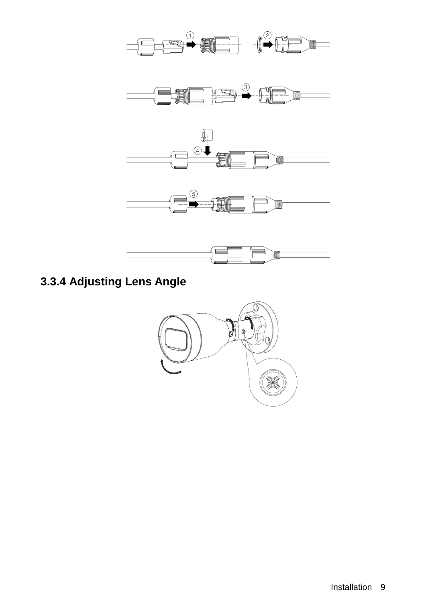

## <span id="page-14-0"></span>**3.3.4 Adjusting Lens Angle**